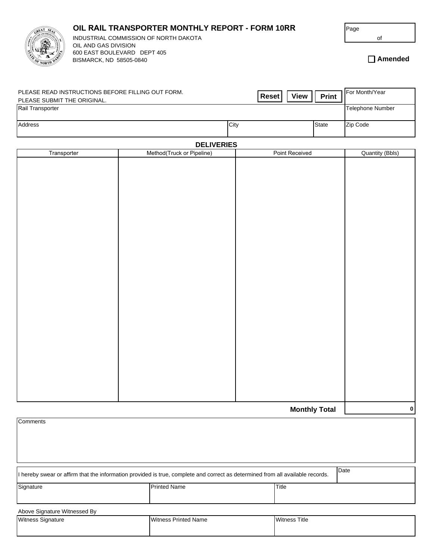## **OIL RAIL TRANSPORTER MONTHLY REPORT - FORM 10RR**



INDUSTRIAL COMMISSION OF NORTH DAKOTA **of** of OIL AND GAS DIVISION 600 EAST BOULEVARD DEPT 405 BISMARCK, ND 58505-0840

**Amended**

| PLEASE READ INSTRUCTIONS BEFORE FILLING OUT FORM.<br>PLEASE SUBMIT THE ORIGINAL. | <b>View</b><br>Reset | <b>Print</b> | I For Month/Year |
|----------------------------------------------------------------------------------|----------------------|--------------|------------------|
| Rail Transporter                                                                 |                      |              | Telephone Number |
| Address                                                                          | City                 | <b>State</b> | Zip Code         |

## **DELIVERIES**

| Transporter | Method(Truck or Pipeline) | Point Received       | <b>Quantity (Bbls)</b> |
|-------------|---------------------------|----------------------|------------------------|
|             |                           |                      |                        |
|             |                           |                      |                        |
|             |                           |                      |                        |
|             |                           |                      |                        |
|             |                           |                      |                        |
|             |                           |                      |                        |
|             |                           |                      |                        |
|             |                           |                      |                        |
|             |                           |                      |                        |
|             |                           |                      |                        |
|             |                           |                      |                        |
|             |                           |                      |                        |
|             |                           |                      |                        |
|             |                           |                      |                        |
|             |                           |                      |                        |
|             |                           |                      |                        |
|             |                           |                      |                        |
|             |                           |                      |                        |
|             |                           |                      |                        |
|             |                           |                      |                        |
|             |                           |                      |                        |
|             |                           |                      |                        |
|             |                           |                      |                        |
|             |                           |                      |                        |
|             |                           |                      |                        |
|             |                           |                      |                        |
|             |                           | <b>Monthly Total</b> | $\pmb{0}$              |

| Comments                                                                                                                               |                     |       |  |
|----------------------------------------------------------------------------------------------------------------------------------------|---------------------|-------|--|
|                                                                                                                                        |                     |       |  |
| Date<br>I hereby swear or affirm that the information provided is true, complete and correct as determined from all available records. |                     |       |  |
| Signature                                                                                                                              | <b>Printed Name</b> | Title |  |
| Above Signature Witnessed By                                                                                                           |                     |       |  |

| .<br>.                   |                             |                      |  |  |
|--------------------------|-----------------------------|----------------------|--|--|
| <b>Witness Signature</b> | <b>Witness Printed Name</b> | <b>Witness Title</b> |  |  |
|                          |                             |                      |  |  |
|                          |                             |                      |  |  |